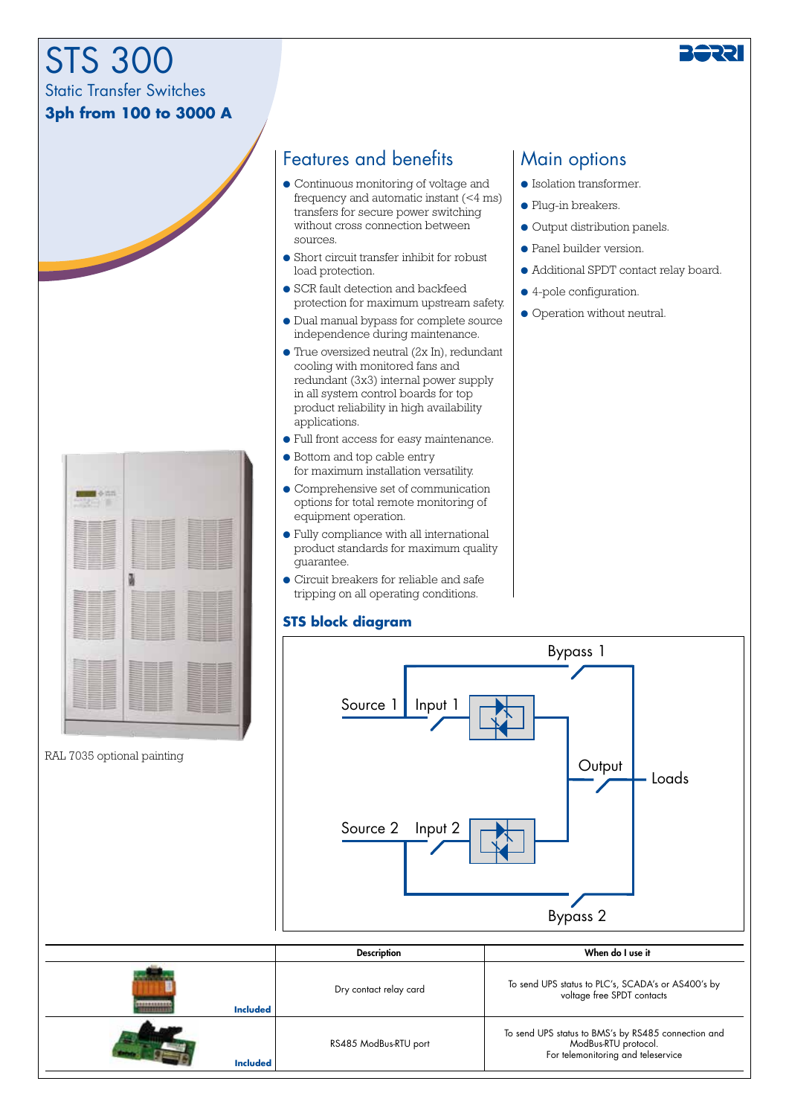# STS 300

Static Transfer Switches

### **3ph from 100 to 3000 A**



## Features and benefits | Main options

- Continuous monitoring of voltage and frequency and automatic instant (<4 ms) transfers for secure power switching without cross connection between sources.
- Short circuit transfer inhibit for robust load protection.
- SCR fault detection and backfeed protection for maximum upstream safety.
- Dual manual bypass for complete source independence during maintenance.
- $\bullet$  True oversized neutral (2x In), redundant cooling with monitored fans and redundant (3x3) internal power supply in all system control boards for top product reliability in high availability applications.
- Full front access for easy maintenance.
- Bottom and top cable entry for maximum installation versatility.
- Comprehensive set of communication options for total remote monitoring of equipment operation.
- Fully compliance with all international product standards for maximum quality guarantee.
- Circuit breakers for reliable and safe tripping on all operating conditions.

#### **STS block diagram**

- Isolation transformer.
- Plug-in breakers.
- Output distribution panels.
- Panel builder version.
- Additional SPDT contact relay board.
- 4-pole configuration.
- Operation without neutral.